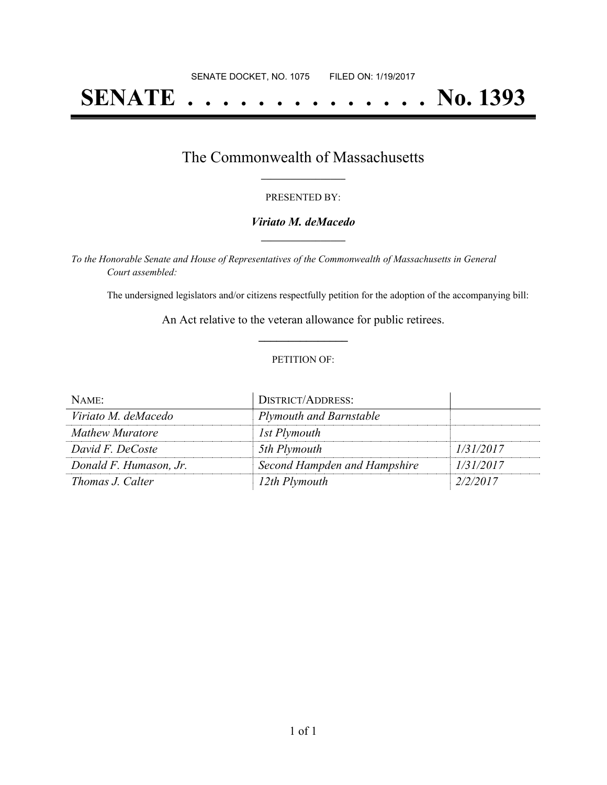# **SENATE . . . . . . . . . . . . . . No. 1393**

## The Commonwealth of Massachusetts **\_\_\_\_\_\_\_\_\_\_\_\_\_\_\_\_\_**

#### PRESENTED BY:

#### *Viriato M. deMacedo* **\_\_\_\_\_\_\_\_\_\_\_\_\_\_\_\_\_**

*To the Honorable Senate and House of Representatives of the Commonwealth of Massachusetts in General Court assembled:*

The undersigned legislators and/or citizens respectfully petition for the adoption of the accompanying bill:

An Act relative to the veteran allowance for public retirees. **\_\_\_\_\_\_\_\_\_\_\_\_\_\_\_**

#### PETITION OF:

| NAME:                  | <b>DISTRICT/ADDRESS:</b>       |           |
|------------------------|--------------------------------|-----------|
| Viriato M. deMacedo    | <b>Plymouth and Barnstable</b> |           |
| Mathew Muratore        | 1st Plymouth                   |           |
| David F. DeCoste       | 5th Plymouth                   | 1/31/2017 |
| Donald F. Humason, Jr. | Second Hampden and Hampshire   | 1/31/2017 |
| Thomas J. Calter       | 12th Plymouth                  | 2/2/2017  |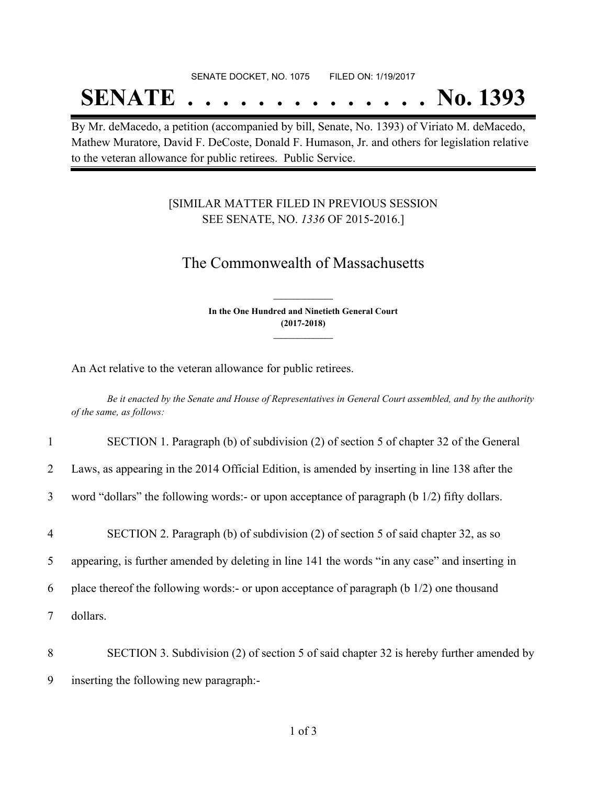#### SENATE DOCKET, NO. 1075 FILED ON: 1/19/2017

## **SENATE . . . . . . . . . . . . . . No. 1393**

By Mr. deMacedo, a petition (accompanied by bill, Senate, No. 1393) of Viriato M. deMacedo, Mathew Muratore, David F. DeCoste, Donald F. Humason, Jr. and others for legislation relative to the veteran allowance for public retirees. Public Service.

### [SIMILAR MATTER FILED IN PREVIOUS SESSION SEE SENATE, NO. *1336* OF 2015-2016.]

## The Commonwealth of Massachusetts

**In the One Hundred and Ninetieth General Court (2017-2018) \_\_\_\_\_\_\_\_\_\_\_\_\_\_\_**

**\_\_\_\_\_\_\_\_\_\_\_\_\_\_\_**

An Act relative to the veteran allowance for public retirees.

Be it enacted by the Senate and House of Representatives in General Court assembled, and by the authority *of the same, as follows:*

| $\mathbf{1}$    | SECTION 1. Paragraph (b) of subdivision (2) of section 5 of chapter 32 of the General              |
|-----------------|----------------------------------------------------------------------------------------------------|
| $\overline{2}$  | Laws, as appearing in the 2014 Official Edition, is amended by inserting in line 138 after the     |
| $\overline{3}$  | word "dollars" the following words:- or upon acceptance of paragraph (b 1/2) fifty dollars.        |
| $\overline{4}$  | SECTION 2. Paragraph (b) of subdivision (2) of section 5 of said chapter 32, as so                 |
| $5\overline{)}$ | appearing, is further amended by deleting in line 141 the words "in any case" and inserting in     |
| 6               | place thereof the following words:- or upon acceptance of paragraph $(b \frac{1}{2})$ one thousand |
| $\tau$          | dollars.                                                                                           |
| 8               | SECTION 3. Subdivision (2) of section 5 of said chapter 32 is hereby further amended by            |
| 9               | inserting the following new paragraph:-                                                            |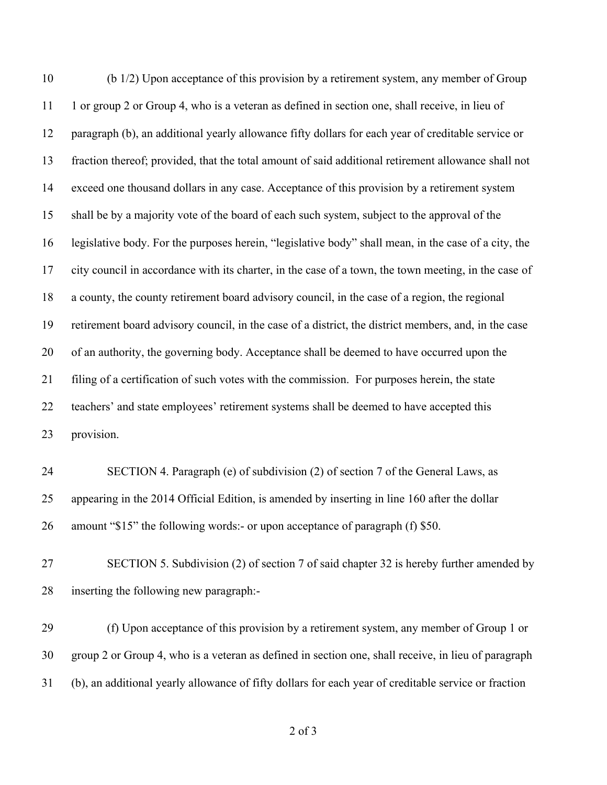(b 1/2) Upon acceptance of this provision by a retirement system, any member of Group 1 or group 2 or Group 4, who is a veteran as defined in section one, shall receive, in lieu of paragraph (b), an additional yearly allowance fifty dollars for each year of creditable service or fraction thereof; provided, that the total amount of said additional retirement allowance shall not exceed one thousand dollars in any case. Acceptance of this provision by a retirement system shall be by a majority vote of the board of each such system, subject to the approval of the legislative body. For the purposes herein, "legislative body" shall mean, in the case of a city, the city council in accordance with its charter, in the case of a town, the town meeting, in the case of a county, the county retirement board advisory council, in the case of a region, the regional retirement board advisory council, in the case of a district, the district members, and, in the case of an authority, the governing body. Acceptance shall be deemed to have occurred upon the filing of a certification of such votes with the commission. For purposes herein, the state teachers' and state employees' retirement systems shall be deemed to have accepted this provision. SECTION 4. Paragraph (e) of subdivision (2) of section 7 of the General Laws, as appearing in the 2014 Official Edition, is amended by inserting in line 160 after the dollar amount "\$15" the following words:- or upon acceptance of paragraph (f) \$50. SECTION 5. Subdivision (2) of section 7 of said chapter 32 is hereby further amended by inserting the following new paragraph:-

 (f) Upon acceptance of this provision by a retirement system, any member of Group 1 or group 2 or Group 4, who is a veteran as defined in section one, shall receive, in lieu of paragraph (b), an additional yearly allowance of fifty dollars for each year of creditable service or fraction

of 3